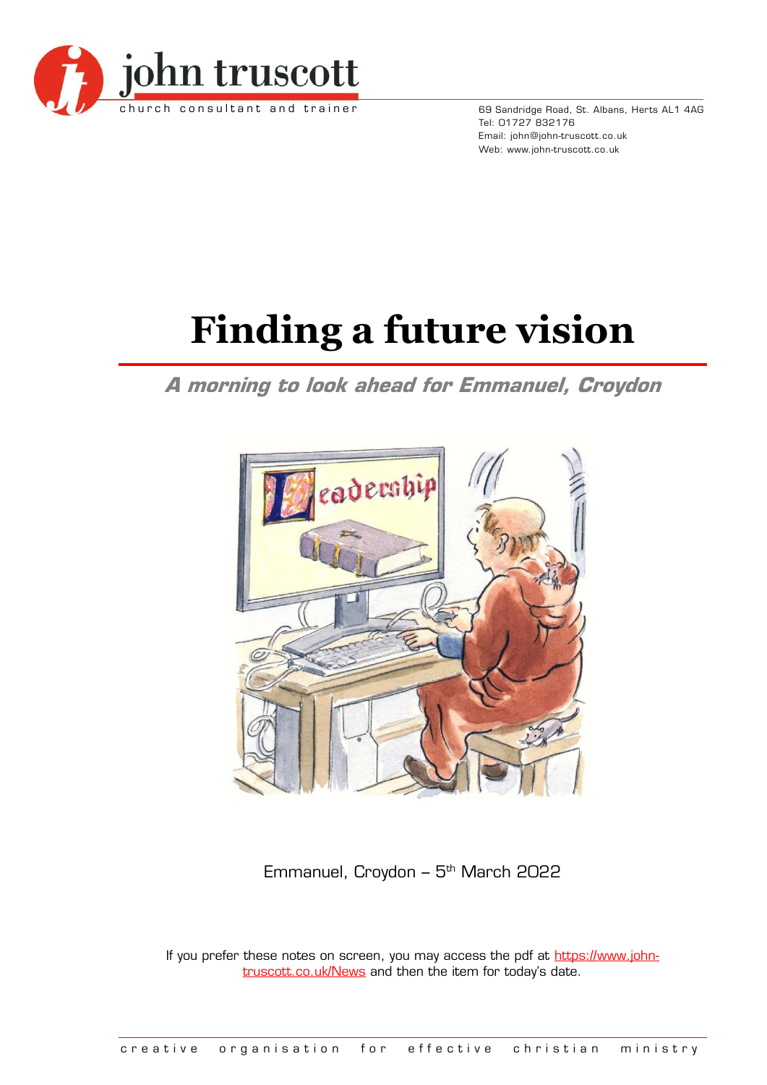

69 Sandridge Road, St. Albans, Herts AL1 4AG Tel: 01727 832176 Email: john@john-truscott.co.uk Web: www.john-truscott.co.uk

# **Finding a future vision**

## **A morning to look ahead for Emmanuel, Croydon**



Emmanuel, Croydon – 5<sup>th</sup> March 2022

If you prefer these notes on screen, you may access the pdf at [https://www.john](https://www.john-truscott.co.uk/News)[truscott.co.uk/News](https://www.john-truscott.co.uk/News) and then the item for today's date.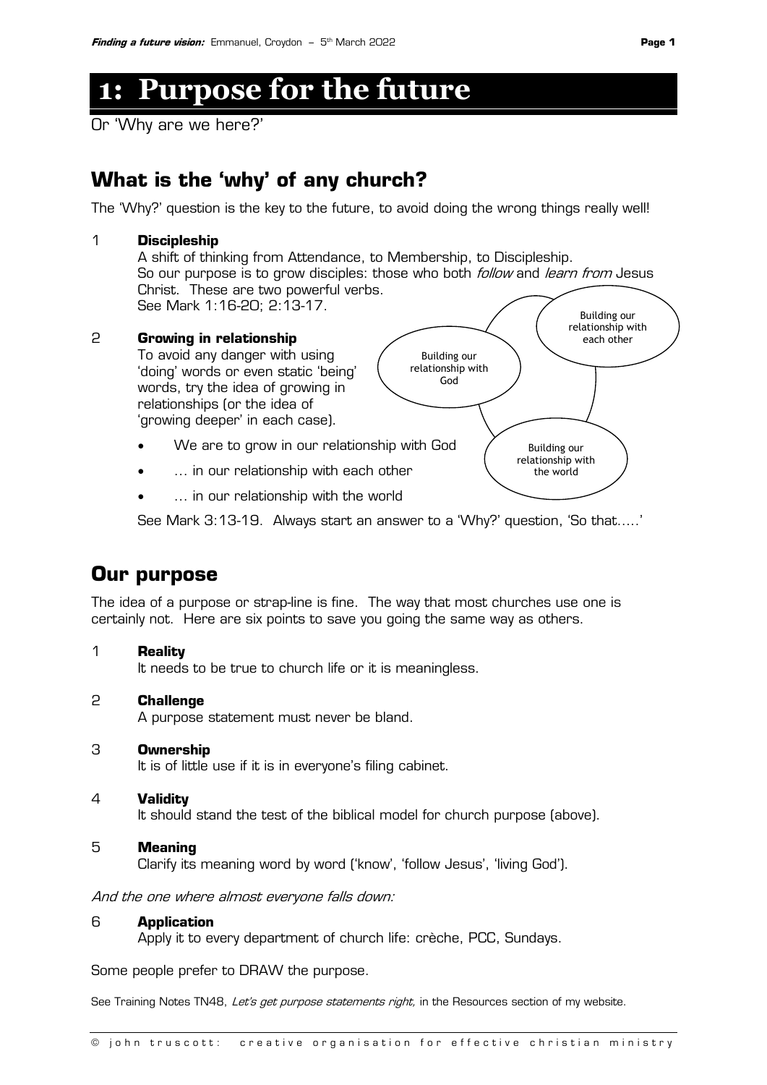## **1: Purpose for the future**

Or 'Why are we here?'

## **What is the 'why' of any church?**

The 'Why?' question is the key to the future, to avoid doing the wrong things really well!

### 1 **Discipleship** A shift of thinking from Attendance, to Membership, to Discipleship.

So our purpose is to grow disciples: those who both *follow* and *learn from* Jesus Christ. These are two powerful verbs. See Mark 1:16-20; 2:13-17.

#### 2 **Growing in relationship**

To avoid any danger with using 'doing' words or even static 'being' words, try the idea of growing in relationships (or the idea of 'growing deeper' in each case).

- We are to grow in our relationship with God
- ... in our relationship with each other
- ... in our relationship with the world

See Mark 3:13-19. Always start an answer to a 'Why?' question, 'So that…..'

### **Our purpose**

The idea of a purpose or strap-line is fine. The way that most churches use one is certainly not. Here are six points to save you going the same way as others.

#### 1 **Reality**

It needs to be true to church life or it is meaningless.

#### 2 **Challenge**

A purpose statement must never be bland.

#### 3 **Ownership**

It is of little use if it is in everyone's filing cabinet.

#### 4 **Validity**

It should stand the test of the biblical model for church purpose (above).

#### 5 **Meaning**

Clarify its meaning word by word ('know', 'follow Jesus', 'living God').

And the one where almost everyone falls down:

#### 6 **Application**

Apply it to every department of church life: crèche, PCC, Sundays.

Some people prefer to DRAW the purpose.

See Training Notes TN48, Let's get purpose statements right, in the Resources section of my website.

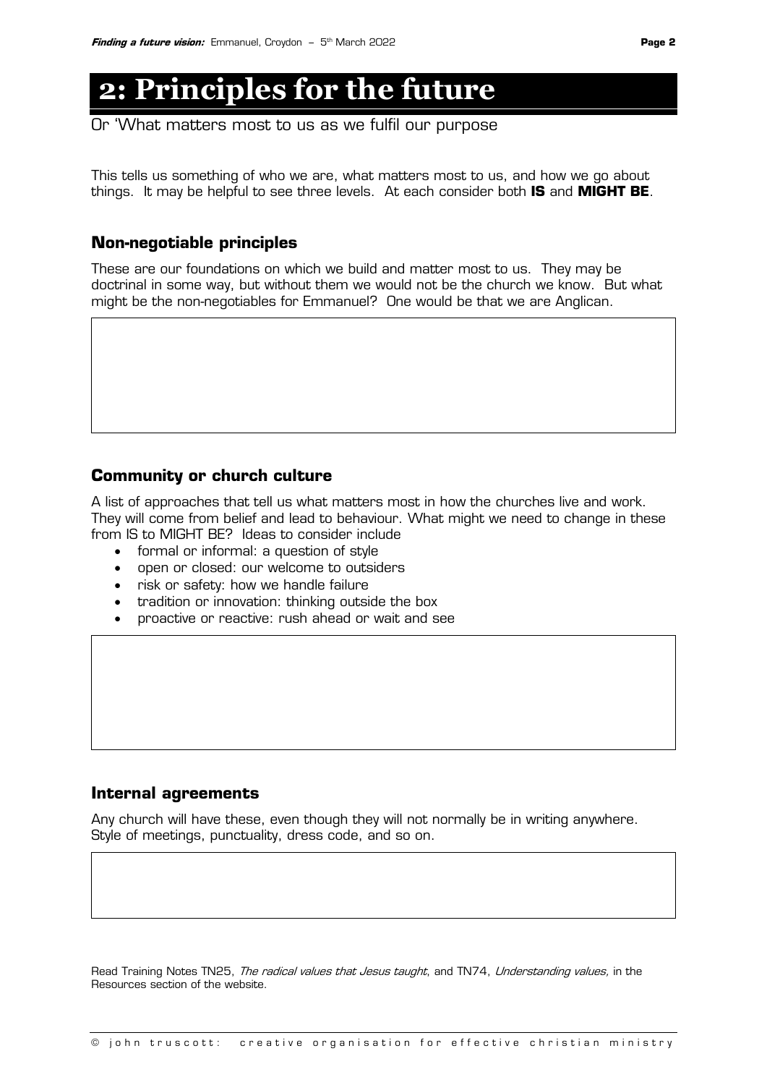## **2: Principles for the future**

Or 'What matters most to us as we fulfil our purpose

This tells us something of who we are, what matters most to us, and how we go about things. It may be helpful to see three levels. At each consider both **IS** and **MIGHT BE**.

#### **Non-negotiable principles**

These are our foundations on which we build and matter most to us. They may be doctrinal in some way, but without them we would not be the church we know. But what might be the non-negotiables for Emmanuel? One would be that we are Anglican.

#### **Community or church culture**

A list of approaches that tell us what matters most in how the churches live and work. They will come from belief and lead to behaviour. What might we need to change in these from IS to MIGHT BE? Ideas to consider include

- formal or informal: a question of style
- open or closed: our welcome to outsiders
- risk or safety: how we handle failure
- tradition or innovation: thinking outside the box
- proactive or reactive: rush ahead or wait and see

#### **Internal agreements**

Any church will have these, even though they will not normally be in writing anywhere. Style of meetings, punctuality, dress code, and so on.

Read Training Notes TN25, The radical values that Jesus taught, and TN74, Understanding values, in the Resources section of the website.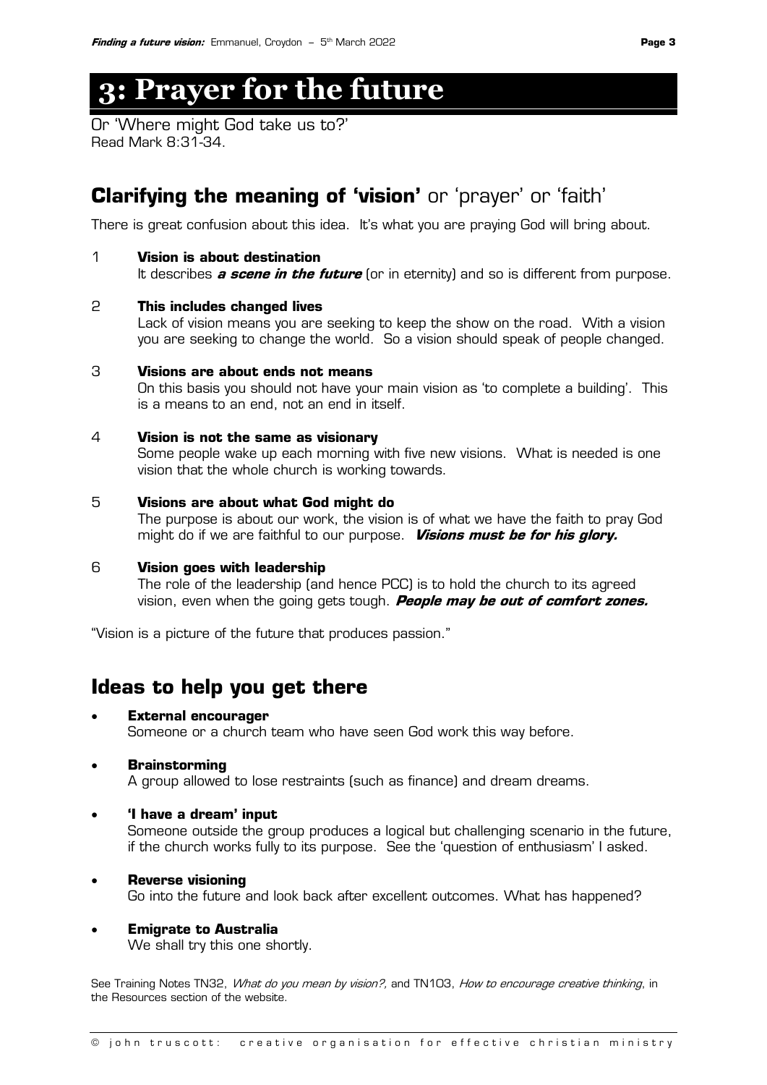## **3: Prayer for the future**

Or 'Where might God take us to?' Read Mark 8:31-34.

## **Clarifying the meaning of 'vision'** or 'prayer' or 'faith'

There is great confusion about this idea. It's what you are praying God will bring about.

#### 1 **Vision is about destination**

It describes **a scene in the future** (or in eternity) and so is different from purpose.

#### 2 **This includes changed lives**

Lack of vision means you are seeking to keep the show on the road. With a vision you are seeking to change the world. So a vision should speak of people changed.

#### 3 **Visions are about ends not means**

On this basis you should not have your main vision as 'to complete a building'. This is a means to an end, not an end in itself.

#### 4 **Vision is not the same as visionary**

Some people wake up each morning with five new visions. What is needed is one vision that the whole church is working towards.

#### 5 **Visions are about what God might do**

The purpose is about our work, the vision is of what we have the faith to pray God might do if we are faithful to our purpose. **Visions must be for his glory.**

#### 6 **Vision goes with leadership**

The role of the leadership (and hence PCC) is to hold the church to its agreed vision, even when the going gets tough. **People may be out of comfort zones.**

"Vision is a picture of the future that produces passion."

### **Ideas to help you get there**

#### • **External encourager**

Someone or a church team who have seen God work this way before.

#### • **Brainstorming**

A group allowed to lose restraints (such as finance) and dream dreams.

#### • **'I have a dream' input**

Someone outside the group produces a logical but challenging scenario in the future, if the church works fully to its purpose. See the 'question of enthusiasm' I asked.

#### • **Reverse visioning**

Go into the future and look back after excellent outcomes. What has happened?

#### • **Emigrate to Australia**

We shall try this one shortly.

See Training Notes TN32, What do you mean by vision?, and TN103, How to encourage creative thinking, in the Resources section of the website.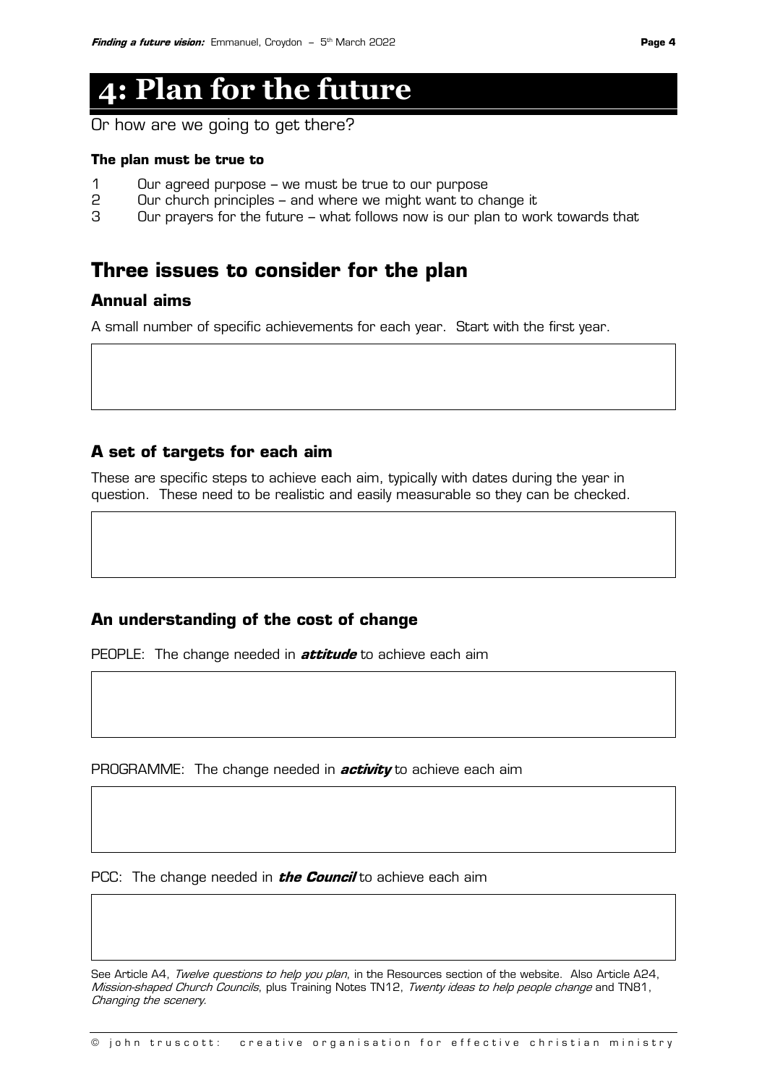## **4: Plan for the future**

Or how are we going to get there?

#### **The plan must be true to**

- 1 Our agreed purpose we must be true to our purpose
- 2 Our church principles and where we might want to change it
- 3 Our prayers for the future what follows now is our plan to work towards that

### **Three issues to consider for the plan**

#### **Annual aims**

A small number of specific achievements for each year. Start with the first year.

#### **A set of targets for each aim**

These are specific steps to achieve each aim, typically with dates during the year in question. These need to be realistic and easily measurable so they can be checked.

#### **An understanding of the cost of change**

PEOPLE: The change needed in **attitude** to achieve each aim

PROGRAMME: The change needed in **activity** to achieve each aim

PCC: The change needed in **the Council** to achieve each aim

See Article A4, Twelve questions to help you plan, in the Resources section of the website. Also Article A24, Mission-shaped Church Councils, plus Training Notes TN12, Twenty ideas to help people change and TN81, Changing the scenery.